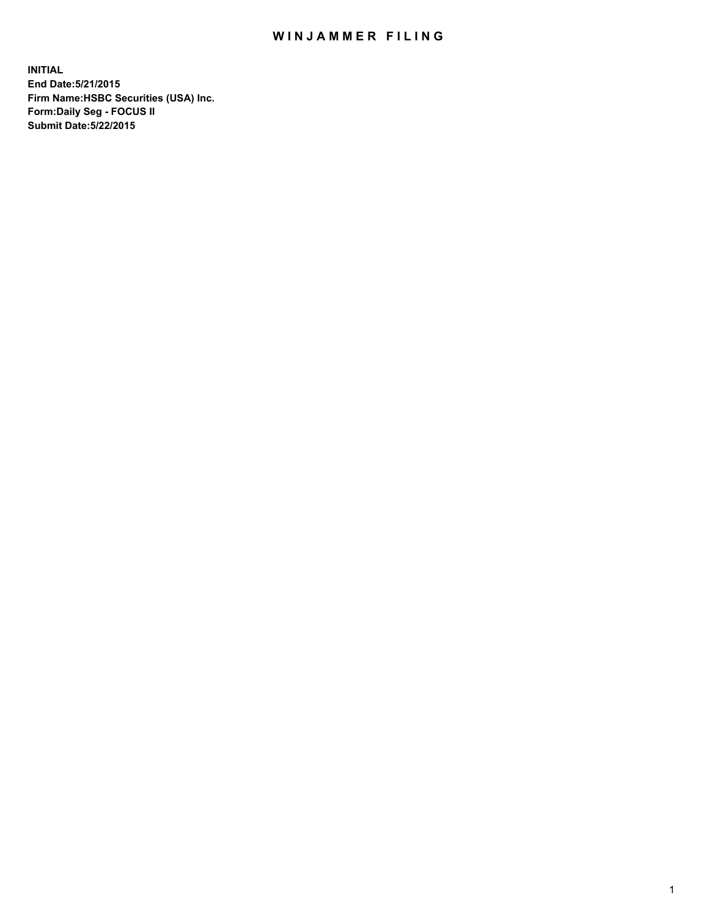## WIN JAMMER FILING

**INITIAL End Date:5/21/2015 Firm Name:HSBC Securities (USA) Inc. Form:Daily Seg - FOCUS II Submit Date:5/22/2015**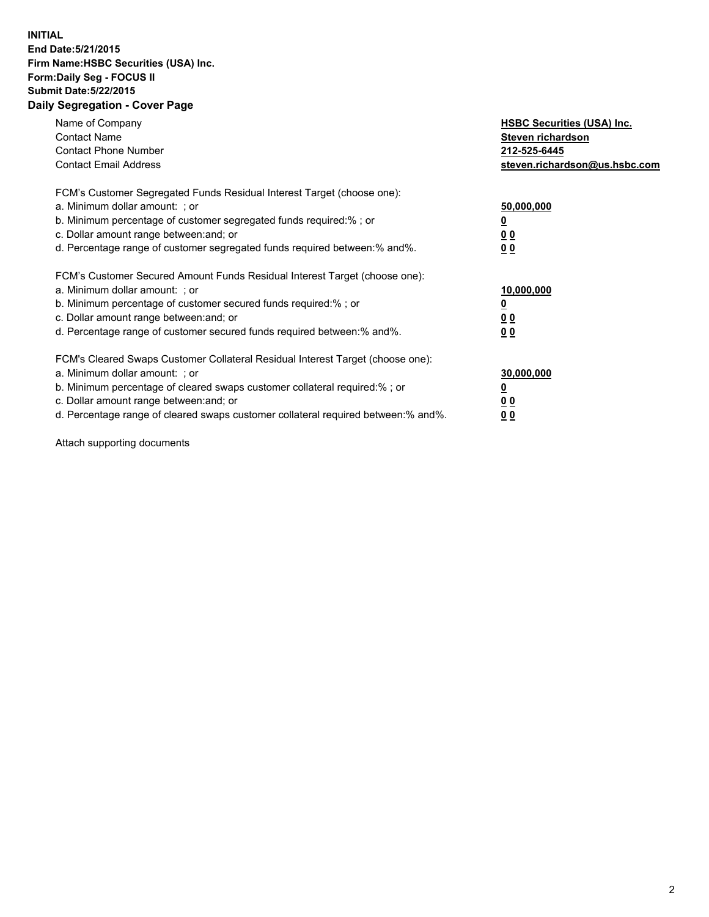## **INITIAL End Date:5/21/2015 Firm Name:HSBC Securities (USA) Inc. Form:Daily Seg - FOCUS II Submit Date:5/22/2015 Daily Segregation - Cover Page**

| Name of Company<br><b>Contact Name</b><br><b>Contact Phone Number</b><br><b>Contact Email Address</b>                                                                                                                                                                                                                         | <b>HSBC Securities (USA) Inc.</b><br>Steven richardson<br>212-525-6445<br>steven.richardson@us.hsbc.com |
|-------------------------------------------------------------------------------------------------------------------------------------------------------------------------------------------------------------------------------------------------------------------------------------------------------------------------------|---------------------------------------------------------------------------------------------------------|
| FCM's Customer Segregated Funds Residual Interest Target (choose one):<br>a. Minimum dollar amount: ; or<br>b. Minimum percentage of customer segregated funds required:%; or<br>c. Dollar amount range between: and; or<br>d. Percentage range of customer segregated funds required between:% and%.                         | 50,000,000<br>00<br>0 <sub>0</sub>                                                                      |
| FCM's Customer Secured Amount Funds Residual Interest Target (choose one):<br>a. Minimum dollar amount: ; or<br>b. Minimum percentage of customer secured funds required:%; or<br>c. Dollar amount range between: and; or<br>d. Percentage range of customer secured funds required between:% and%.                           | 10,000,000<br>0 <sub>0</sub><br>00                                                                      |
| FCM's Cleared Swaps Customer Collateral Residual Interest Target (choose one):<br>a. Minimum dollar amount: ; or<br>b. Minimum percentage of cleared swaps customer collateral required:%; or<br>c. Dollar amount range between: and; or<br>d. Percentage range of cleared swaps customer collateral required between:% and%. | 30,000,000<br><u>00</u><br><u>00</u>                                                                    |

Attach supporting documents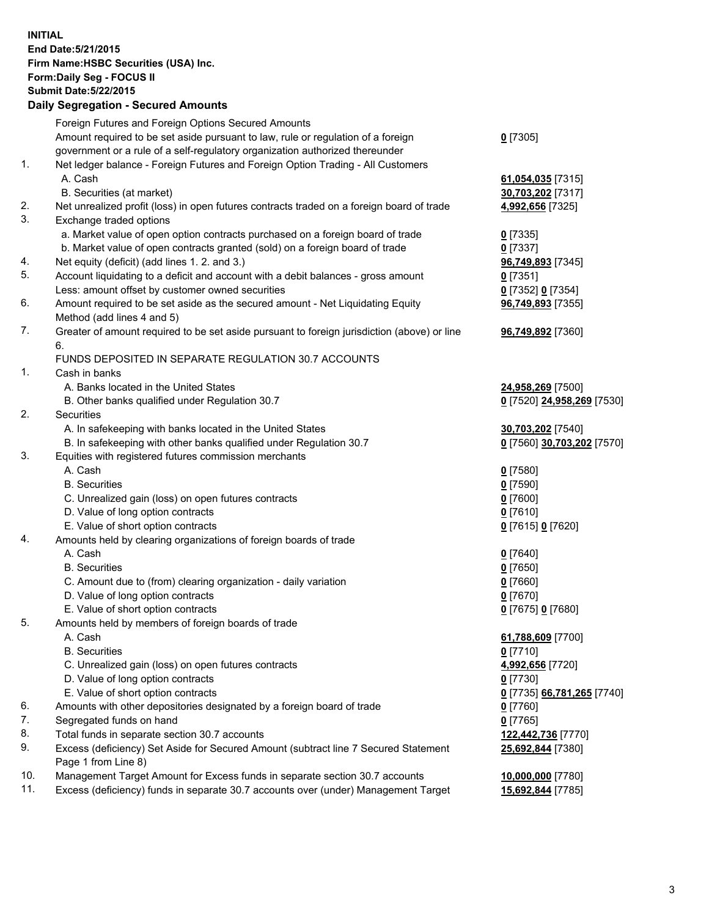**INITIAL End Date:5/21/2015 Firm Name:HSBC Securities (USA) Inc. Form:Daily Seg - FOCUS II Submit Date:5/22/2015 Daily Segregation - Secured Amounts**

|     | Foreign Futures and Foreign Options Secured Amounts                                                          |                            |
|-----|--------------------------------------------------------------------------------------------------------------|----------------------------|
|     | Amount required to be set aside pursuant to law, rule or regulation of a foreign                             | $0$ [7305]                 |
|     | government or a rule of a self-regulatory organization authorized thereunder                                 |                            |
| 1.  | Net ledger balance - Foreign Futures and Foreign Option Trading - All Customers                              |                            |
|     | A. Cash                                                                                                      |                            |
|     |                                                                                                              | 61,054,035 [7315]          |
| 2.  | B. Securities (at market)                                                                                    | 30,703,202 [7317]          |
| 3.  | Net unrealized profit (loss) in open futures contracts traded on a foreign board of trade                    | 4,992,656 [7325]           |
|     | Exchange traded options                                                                                      |                            |
|     | a. Market value of open option contracts purchased on a foreign board of trade                               | $0$ [7335]                 |
|     | b. Market value of open contracts granted (sold) on a foreign board of trade                                 | $0$ [7337]                 |
| 4.  | Net equity (deficit) (add lines 1.2. and 3.)                                                                 | 96,749,893 [7345]          |
| 5.  | Account liquidating to a deficit and account with a debit balances - gross amount                            | $0$ [7351]                 |
|     | Less: amount offset by customer owned securities                                                             | 0 [7352] 0 [7354]          |
| 6.  | Amount required to be set aside as the secured amount - Net Liquidating Equity<br>Method (add lines 4 and 5) | 96,749,893 [7355]          |
| 7.  | Greater of amount required to be set aside pursuant to foreign jurisdiction (above) or line                  | 96,749,892 [7360]          |
|     | 6.                                                                                                           |                            |
|     | FUNDS DEPOSITED IN SEPARATE REGULATION 30.7 ACCOUNTS                                                         |                            |
| 1.  | Cash in banks                                                                                                |                            |
|     | A. Banks located in the United States                                                                        | 24,958,269 [7500]          |
|     | B. Other banks qualified under Regulation 30.7                                                               | 0 [7520] 24,958,269 [7530] |
| 2.  | <b>Securities</b>                                                                                            |                            |
|     | A. In safekeeping with banks located in the United States                                                    | 30,703,202 [7540]          |
|     | B. In safekeeping with other banks qualified under Regulation 30.7                                           | 0 [7560] 30,703,202 [7570] |
| 3.  | Equities with registered futures commission merchants                                                        |                            |
|     | A. Cash                                                                                                      | $0$ [7580]                 |
|     | <b>B.</b> Securities                                                                                         | $0$ [7590]                 |
|     | C. Unrealized gain (loss) on open futures contracts                                                          | $0$ [7600]                 |
|     | D. Value of long option contracts                                                                            | $0$ [7610]                 |
|     | E. Value of short option contracts                                                                           | 0 [7615] 0 [7620]          |
| 4.  | Amounts held by clearing organizations of foreign boards of trade                                            |                            |
|     | A. Cash                                                                                                      | $0$ [7640]                 |
|     | <b>B.</b> Securities                                                                                         | $0$ [7650]                 |
|     | C. Amount due to (from) clearing organization - daily variation                                              | $0$ [7660]                 |
|     | D. Value of long option contracts                                                                            | $0$ [7670]                 |
|     | E. Value of short option contracts                                                                           | 0 [7675] 0 [7680]          |
| 5.  | Amounts held by members of foreign boards of trade                                                           |                            |
|     | A. Cash                                                                                                      | 61,788,609 [7700]          |
|     | <b>B.</b> Securities                                                                                         | $0$ [7710]                 |
|     |                                                                                                              |                            |
|     | C. Unrealized gain (loss) on open futures contracts                                                          | 4,992,656 [7720]           |
|     | D. Value of long option contracts                                                                            | $0$ [7730]                 |
|     | E. Value of short option contracts                                                                           | 0 [7735] 66,781,265 [7740] |
| 6.  | Amounts with other depositories designated by a foreign board of trade                                       | 0 [7760]                   |
| 7.  | Segregated funds on hand                                                                                     | $0$ [7765]                 |
| 8.  | Total funds in separate section 30.7 accounts                                                                | 122,442,736 [7770]         |
| 9.  | Excess (deficiency) Set Aside for Secured Amount (subtract line 7 Secured Statement                          | 25,692,844 [7380]          |
|     | Page 1 from Line 8)                                                                                          |                            |
| 10. | Management Target Amount for Excess funds in separate section 30.7 accounts                                  | 10,000,000 [7780]          |
| 11. | Excess (deficiency) funds in separate 30.7 accounts over (under) Management Target                           | 15,692,844 [7785]          |
|     |                                                                                                              |                            |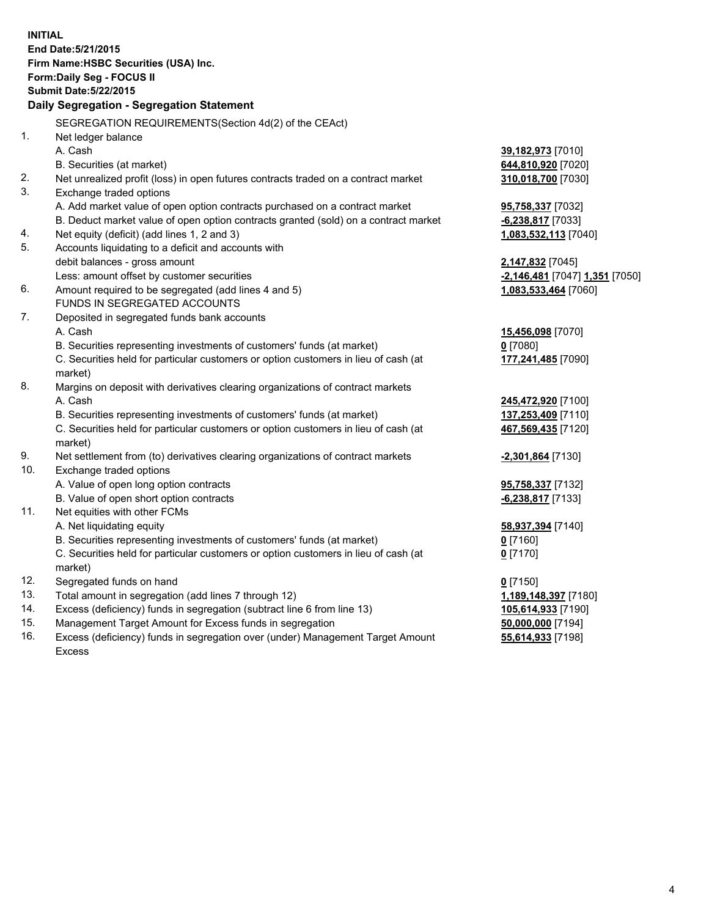| <b>INITIAL</b> | End Date: 5/21/2015<br>Firm Name: HSBC Securities (USA) Inc.<br>Form: Daily Seg - FOCUS II<br><b>Submit Date: 5/22/2015</b>        |                                             |
|----------------|------------------------------------------------------------------------------------------------------------------------------------|---------------------------------------------|
|                | Daily Segregation - Segregation Statement                                                                                          |                                             |
|                | SEGREGATION REQUIREMENTS(Section 4d(2) of the CEAct)                                                                               |                                             |
| 1.             | Net ledger balance                                                                                                                 |                                             |
|                | A. Cash                                                                                                                            | 39,182,973 [7010]                           |
|                | B. Securities (at market)                                                                                                          | 644,810,920 [7020]                          |
| 2.<br>3.       | Net unrealized profit (loss) in open futures contracts traded on a contract market                                                 | 310,018,700 [7030]                          |
|                | Exchange traded options                                                                                                            |                                             |
|                | A. Add market value of open option contracts purchased on a contract market                                                        | 95,758,337 [7032]                           |
| 4.             | B. Deduct market value of open option contracts granted (sold) on a contract market<br>Net equity (deficit) (add lines 1, 2 and 3) | $-6,238,817$ [7033]<br>1,083,532,113 [7040] |
| 5.             | Accounts liquidating to a deficit and accounts with                                                                                |                                             |
|                | debit balances - gross amount                                                                                                      | 2,147,832 [7045]                            |
|                | Less: amount offset by customer securities                                                                                         | -2,146,481 [7047] 1,351 [7050]              |
| 6.             | Amount required to be segregated (add lines 4 and 5)                                                                               | 1,083,533,464 [7060]                        |
|                | FUNDS IN SEGREGATED ACCOUNTS                                                                                                       |                                             |
| 7.             | Deposited in segregated funds bank accounts                                                                                        |                                             |
|                | A. Cash                                                                                                                            | 15,456,098 [7070]                           |
|                | B. Securities representing investments of customers' funds (at market)                                                             | $0$ [7080]                                  |
|                | C. Securities held for particular customers or option customers in lieu of cash (at                                                | 177,241,485 [7090]                          |
|                | market)                                                                                                                            |                                             |
| 8.             | Margins on deposit with derivatives clearing organizations of contract markets                                                     |                                             |
|                | A. Cash                                                                                                                            | 245,472,920 [7100]                          |
|                | B. Securities representing investments of customers' funds (at market)                                                             | 137,253,409 [7110]                          |
|                | C. Securities held for particular customers or option customers in lieu of cash (at                                                | 467,569,435 [7120]                          |
|                | market)                                                                                                                            |                                             |
| 9.             | Net settlement from (to) derivatives clearing organizations of contract markets                                                    | <u>-2,301,864</u> [7130]                    |
| 10.            | Exchange traded options                                                                                                            |                                             |
|                | A. Value of open long option contracts                                                                                             | 95,758,337 [7132]                           |
|                | B. Value of open short option contracts                                                                                            | -6,238,817 [7133]                           |
| 11.            | Net equities with other FCMs                                                                                                       |                                             |
|                | A. Net liquidating equity                                                                                                          | 58,937,394 [7140]                           |
|                | B. Securities representing investments of customers' funds (at market)                                                             | <u>0</u> [7160]                             |
|                | C. Securities held for particular customers or option customers in lieu of cash (at                                                | $0$ [7170]                                  |
|                | market)                                                                                                                            |                                             |
| 12.            | Segregated funds on hand                                                                                                           | $0$ [7150]                                  |
| 13.            | Total amount in segregation (add lines 7 through 12)                                                                               | 1,189,148,397 [7180]                        |
| 14.            | Excess (deficiency) funds in segregation (subtract line 6 from line 13)                                                            | 105,614,933 [7190]                          |
| 15.            | Management Target Amount for Excess funds in segregation                                                                           | 50,000,000 [7194]                           |
| 16.            | Excess (deficiency) funds in segregation over (under) Management Target Amount                                                     | 55,614,933 [7198]                           |
|                | Excess                                                                                                                             |                                             |